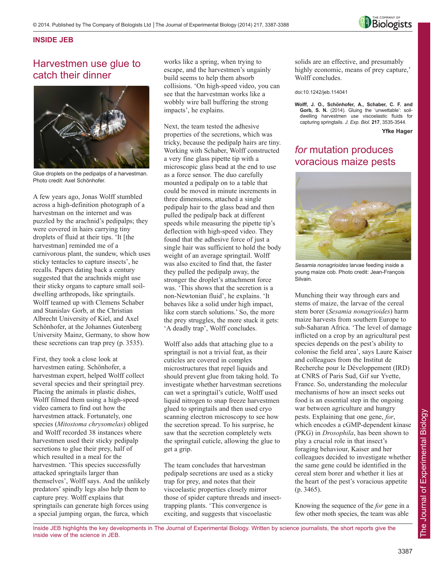

### **INSIDE JEB**

# Harvestmen use glue to catch their dinner



Glue droplets on the pedipalps of a harvestman. Photo credit: Axel Schönhofer.

A few years ago, Jonas Wolff stumbled across a high-definition photograph of a harvestman on the internet and was puzzled by the arachnid's pedipalps; they were covered in hairs carrying tiny droplets of fluid at their tips. 'It [the harvestman] reminded me of a carnivorous plant, the sundew, which uses sticky tentacles to capture insects', he recalls. Papers dating back a century suggested that the arachnids might use their sticky organs to capture small soildwelling arthropods, like springtails. Wolff teamed up with Clemens Schaber and Stanislav Gorb, at the Christian Albrecht University of Kiel, and Axel Schönhofer, at the Johannes Gutenberg University Mainz, Germany, to show how these secretions can trap prey (p. 3535).

First, they took a close look at harvestmen eating. Schönhofer, a harvestman expert, helped Wolff collect several species and their springtail prey. Placing the animals in plastic dishes, Wolff filmed them using a high-speed video camera to find out how the harvestmen attack. Fortunately, one species (*Mitostoma chrysomelas*) obliged and Wolff recorded 38 instances where harvestmen used their sticky pedipalp secretions to glue their prey, half of which resulted in a meal for the harvestmen. 'This species successfully attacked springtails larger than themselves', Wolff says. And the unlikely predators' spindly legs also help them to capture prey. Wolff explains that springtails can generate high forces using a special jumping organ, the furca, which

works like a spring, when trying to escape, and the harvestmen's ungainly build seems to help them absorb collisions. 'On high-speed video, you can see that the harvestman works like a wobbly wire ball buffering the strong impacts', he explains.

Next, the team tested the adhesive properties of the secretions, which was tricky, because the pedipalp hairs are tiny. Working with Schaber, Wolff constructed a very fine glass pipette tip with a microscopic glass bead at the end to use as a force sensor. The duo carefully mounted a pedipalp on to a table that could be moved in minute increments in three dimensions, attached a single pedipalp hair to the glass bead and then pulled the pedipalp back at different speeds while measuring the pipette tip's deflection with high-speed video. They found that the adhesive force of just a single hair was sufficient to hold the body weight of an average springtail. Wolff was also excited to find that, the faster they pulled the pedipalp away, the stronger the droplet's attachment force was. 'This shows that the secretion is a non-Newtonian fluid', he explains. 'It behaves like a solid under high impact, like corn starch solutions.' So, the more the prey struggles, the more stuck it gets: 'A deadly trap', Wolff concludes.

Wolff also adds that attaching glue to a springtail is not a trivial feat, as their cuticles are covered in complex microstructures that repel liquids and should prevent glue from taking hold. To investigate whether harvestman secretions can wet a springtail's cuticle, Wolff used liquid nitrogen to snap freeze harvestmen glued to springtails and then used cryo scanning electron microscopy to see how the secretion spread. To his surprise, he saw that the secretion completely wets the springtail cuticle, allowing the glue to get a grip.

The team concludes that harvestman pedipalp secretions are used as a sticky trap for prey, and notes that their viscoelastic properties closely mirror those of spider capture threads and insecttrapping plants. 'This convergence is exciting, and suggests that viscoelastic

solids are an effective, and presumably highly economic, means of prey capture,' Wolff concludes.

doi:10.1242/jeb.114041

**Wolff, J. O., Schönhofer, A., Schaber, C. F. and** Gorb, S. N. (2014). Gluing the 'unwettable': soildwelling harvestmen use viscoelastic fluids for capturing springtails. *J. Exp. Biol.* **217**, 3535-3544.

**Yfke Hager**

# *for* mutation produces voracious maize pests



*Sesamia nonagrioides* larvae feeding inside a young maize cob. Photo credit: Jean-François Silvain.

Munching their way through ears and stems of maize, the larvae of the cereal stem borer (*Sesamia nonagrioides*) harm maize harvests from southern Europe to sub-Saharan Africa. 'The level of damage inflicted on a crop by an agricultural pest species depends on the pest's ability to colonise the field area', says Laure Kaiser and colleagues from the Institut de Recherche pour le Développement (IRD) at CNRS of Paris Sud, Gif sur Yvette, France. So, understanding the molecular mechanisms of how an insect seeks out food is an essential step in the ongoing war between agriculture and hungry pests. Explaining that one gene, *for*, which encodes a cGMP-dependent kinase (PKG) in *Drosophila*, has been shown to play a crucial role in that insect's foraging behaviour, Kaiser and her colleagues decided to investigate whether the same gene could be identified in the cereal stem borer and whether it lies at the heart of the pest's voracious appetite (p. 3465).

Knowing the sequence of the *for* gene in a few other moth species, the team was able